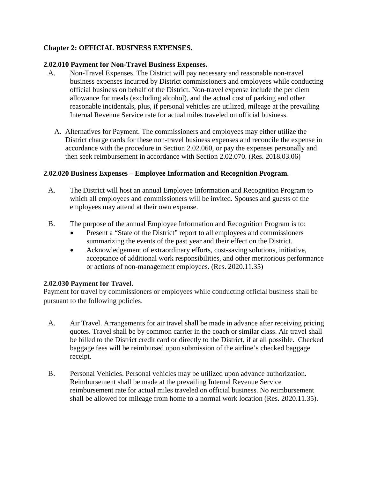# **Chapter 2: OFFICIAL BUSINESS EXPENSES.**

### **2.02.010 Payment for Non-Travel Business Expenses.**

- A. Non-Travel Expenses. The District will pay necessary and reasonable non-travel business expenses incurred by District commissioners and employees while conducting official business on behalf of the District. Non-travel expense include the per diem allowance for meals (excluding alcohol), and the actual cost of parking and other reasonable incidentals, plus, if personal vehicles are utilized, mileage at the prevailing Internal Revenue Service rate for actual miles traveled on official business.
	- A. Alternatives for Payment. The commissioners and employees may either utilize the District charge cards for these non-travel business expenses and reconcile the expense in accordance with the procedure in Section 2.02.060, or pay the expenses personally and then seek reimbursement in accordance with Section 2.02.070. (Res. 2018.03.06)

### **2.02.020 Business Expenses – Employee Information and Recognition Program.**

- A. The District will host an annual Employee Information and Recognition Program to which all employees and commissioners will be invited. Spouses and guests of the employees may attend at their own expense.
- B. The purpose of the annual Employee Information and Recognition Program is to:
	- Present a "State of the District" report to all employees and commissioners summarizing the events of the past year and their effect on the District.
	- Acknowledgement of extraordinary efforts, cost-saving solutions, initiative, acceptance of additional work responsibilities, and other meritorious performance or actions of non-management employees. (Res. 2020.11.35)

### **2.02.030 Payment for Travel.**

Payment for travel by commissioners or employees while conducting official business shall be pursuant to the following policies.

- A. Air Travel. Arrangements for air travel shall be made in advance after receiving pricing quotes. Travel shall be by common carrier in the coach or similar class. Air travel shall be billed to the District credit card or directly to the District, if at all possible. Checked baggage fees will be reimbursed upon submission of the airline's checked baggage receipt.
- B. Personal Vehicles. Personal vehicles may be utilized upon advance authorization. Reimbursement shall be made at the prevailing Internal Revenue Service reimbursement rate for actual miles traveled on official business. No reimbursement shall be allowed for mileage from home to a normal work location (Res. 2020.11.35).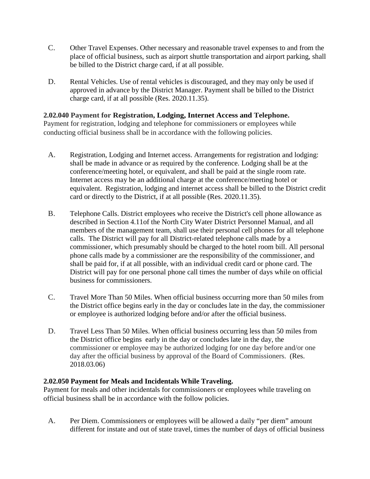- C. Other Travel Expenses. Other necessary and reasonable travel expenses to and from the place of official business, such as airport shuttle transportation and airport parking, shall be billed to the District charge card, if at all possible.
- D. Rental Vehicles. Use of rental vehicles is discouraged, and they may only be used if approved in advance by the District Manager. Payment shall be billed to the District charge card, if at all possible (Res. 2020.11.35).

### **2.02.040 Payment for Registration, Lodging, Internet Access and Telephone.**

Payment for registration, lodging and telephone for commissioners or employees while conducting official business shall be in accordance with the following policies.

- A. Registration, Lodging and Internet access. Arrangements for registration and lodging: shall be made in advance or as required by the conference. Lodging shall be at the conference/meeting hotel, or equivalent, and shall be paid at the single room rate. Internet access may be an additional charge at the conference/meeting hotel or equivalent. Registration, lodging and internet access shall be billed to the District credit card or directly to the District, if at all possible (Res. 2020.11.35).
- B. Telephone Calls. District employees who receive the District's cell phone allowance as described in Section 4.11of the North City Water District Personnel Manual, and all members of the management team, shall use their personal cell phones for all telephone calls. The District will pay for all District-related telephone calls made by a commissioner, which presumably should be charged to the hotel room bill. All personal phone calls made by a commissioner are the responsibility of the commissioner, and shall be paid for, if at all possible, with an individual credit card or phone card. The District will pay for one personal phone call times the number of days while on official business for commissioners.
- C. Travel More Than 50 Miles. When official business occurring more than 50 miles from the District office begins early in the day or concludes late in the day, the commissioner or employee is authorized lodging before and/or after the official business.
- D. Travel Less Than 50 Miles. When official business occurring less than 50 miles from the District office begins early in the day or concludes late in the day, the commissioner or employee may be authorized lodging for one day before and/or one day after the official business by approval of the Board of Commissioners. (Res. 2018.03.06)

### **2.02.050 Payment for Meals and Incidentals While Traveling.**

Payment for meals and other incidentals for commissioners or employees while traveling on official business shall be in accordance with the follow policies.

A. Per Diem. Commissioners or employees will be allowed a daily "per diem" amount different for instate and out of state travel, times the number of days of official business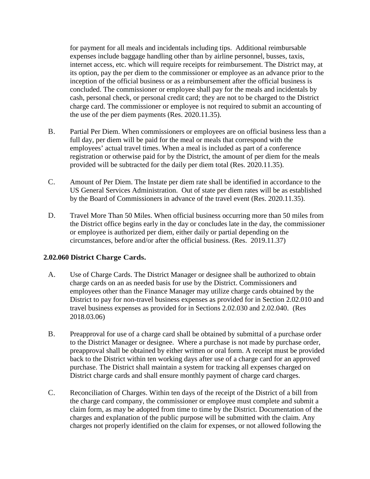for payment for all meals and incidentals including tips. Additional reimbursable expenses include baggage handling other than by airline personnel, busses, taxis, internet access, etc. which will require receipts for reimbursement. The District may, at its option, pay the per diem to the commissioner or employee as an advance prior to the inception of the official business or as a reimbursement after the official business is concluded. The commissioner or employee shall pay for the meals and incidentals by cash, personal check, or personal credit card; they are not to be charged to the District charge card. The commissioner or employee is not required to submit an accounting of the use of the per diem payments (Res. 2020.11.35).

- B. Partial Per Diem. When commissioners or employees are on official business less than a full day, per diem will be paid for the meal or meals that correspond with the employees' actual travel times. When a meal is included as part of a conference registration or otherwise paid for by the District, the amount of per diem for the meals provided will be subtracted for the daily per diem total (Res. 2020.11.35).
- C. Amount of Per Diem. The Instate per diem rate shall be identified in accordance to the US General Services Administration. Out of state per diem rates will be as established by the Board of Commissioners in advance of the travel event (Res. 2020.11.35).
- D. Travel More Than 50 Miles. When official business occurring more than 50 miles from the District office begins early in the day or concludes late in the day, the commissioner or employee is authorized per diem, either daily or partial depending on the circumstances, before and/or after the official business. (Res. 2019.11.37)

## **2.02.060 District Charge Cards.**

- A. Use of Charge Cards. The District Manager or designee shall be authorized to obtain charge cards on an as needed basis for use by the District. Commissioners and employees other than the Finance Manager may utilize charge cards obtained by the District to pay for non-travel business expenses as provided for in Section 2.02.010 and travel business expenses as provided for in Sections 2.02.030 and 2.02.040. (Res 2018.03.06)
- B. Preapproval for use of a charge card shall be obtained by submittal of a purchase order to the District Manager or designee. Where a purchase is not made by purchase order, preapproval shall be obtained by either written or oral form. A receipt must be provided back to the District within ten working days after use of a charge card for an approved purchase. The District shall maintain a system for tracking all expenses charged on District charge cards and shall ensure monthly payment of charge card charges.
- C. Reconciliation of Charges. Within ten days of the receipt of the District of a bill from the charge card company, the commissioner or employee must complete and submit a claim form, as may be adopted from time to time by the District. Documentation of the charges and explanation of the public purpose will be submitted with the claim. Any charges not properly identified on the claim for expenses, or not allowed following the